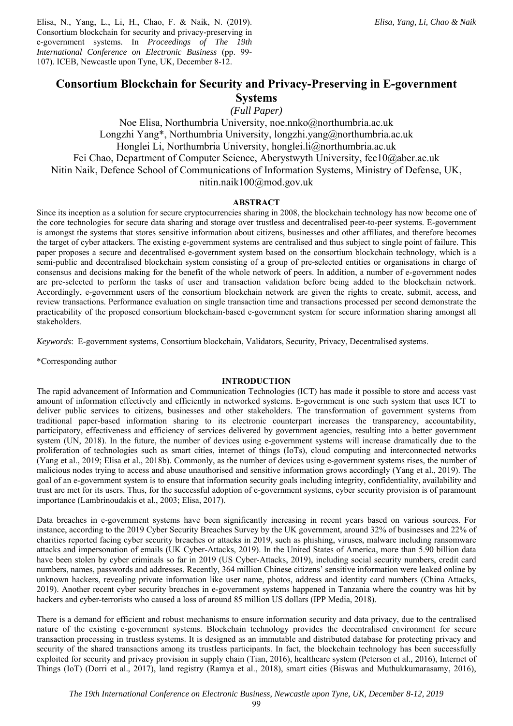Elisa, N., Yang, L., Li, H., Chao, F. & Naik, N. (2019). Consortium blockchain for security and privacy-preserving in e-government systems. In *Proceedings of The 19th International Conference on Electronic Business* (pp. 99- 107). ICEB, Newcastle upon Tyne, UK, December 8-12.

# **Consortium Blockchain for Security and Privacy-Preserving in E-government Systems**

*(Full Paper)* 

Noe Elisa, Northumbria University, noe.nnko@northumbria.ac.uk Longzhi Yang\*, Northumbria University, longzhi.yang@northumbria.ac.uk Honglei Li, Northumbria University, honglei.li@northumbria.ac.uk Fei Chao, Department of Computer Science, Aberystwyth University, fec10@aber.ac.uk Nitin Naik, Defence School of Communications of Information Systems, Ministry of Defense, UK, nitin.naik100@mod.gov.uk

# **ABSTRACT**

Since its inception as a solution for secure cryptocurrencies sharing in 2008, the blockchain technology has now become one of the core technologies for secure data sharing and storage over trustless and decentralised peer-to-peer systems. E-government is amongst the systems that stores sensitive information about citizens, businesses and other affiliates, and therefore becomes the target of cyber attackers. The existing e-government systems are centralised and thus subject to single point of failure. This paper proposes a secure and decentralised e-government system based on the consortium blockchain technology, which is a semi-public and decentralised blockchain system consisting of a group of pre-selected entities or organisations in charge of consensus and decisions making for the benefit of the whole network of peers. In addition, a number of e-government nodes are pre-selected to perform the tasks of user and transaction validation before being added to the blockchain network. Accordingly, e-government users of the consortium blockchain network are given the rights to create, submit, access, and review transactions. Performance evaluation on single transaction time and transactions processed per second demonstrate the practicability of the proposed consortium blockchain-based e-government system for secure information sharing amongst all stakeholders.

*Keywords*: E-government systems, Consortium blockchain, Validators, Security, Privacy, Decentralised systems.

 $\mathcal{L}=\mathcal{L}^{\mathcal{L}}$  , where  $\mathcal{L}^{\mathcal{L}}$  , we have the set of  $\mathcal{L}^{\mathcal{L}}$ \*Corresponding author

# **INTRODUCTION**

The rapid advancement of Information and Communication Technologies (ICT) has made it possible to store and access vast amount of information effectively and efficiently in networked systems. E-government is one such system that uses ICT to deliver public services to citizens, businesses and other stakeholders. The transformation of government systems from traditional paper-based information sharing to its electronic counterpart increases the transparency, accountability, participatory, effectiveness and efficiency of services delivered by government agencies, resulting into a better government system (UN, 2018). In the future, the number of devices using e-government systems will increase dramatically due to the proliferation of technologies such as smart cities, internet of things (IoTs), cloud computing and interconnected networks (Yang et al., 2019; Elisa et al., 2018b). Commonly, as the number of devices using e-government systems rises, the number of malicious nodes trying to access and abuse unauthorised and sensitive information grows accordingly (Yang et al., 2019). The goal of an e-government system is to ensure that information security goals including integrity, confidentiality, availability and trust are met for its users. Thus, for the successful adoption of e-government systems, cyber security provision is of paramount importance (Lambrinoudakis et al., 2003; Elisa, 2017).

Data breaches in e-government systems have been significantly increasing in recent years based on various sources. For instance, according to the 2019 Cyber Security Breaches Survey by the UK government, around 32% of businesses and 22% of charities reported facing cyber security breaches or attacks in 2019, such as phishing, viruses, malware including ransomware attacks and impersonation of emails (UK Cyber-Attacks, 2019). In the United States of America, more than 5.90 billion data have been stolen by cyber criminals so far in 2019 (US Cyber-Attacks, 2019), including social security numbers, credit card numbers, names, passwords and addresses. Recently, 364 million Chinese citizens' sensitive information were leaked online by unknown hackers, revealing private information like user name, photos, address and identity card numbers (China Attacks, 2019). Another recent cyber security breaches in e-government systems happened in Tanzania where the country was hit by hackers and cyber-terrorists who caused a loss of around 85 million US dollars (IPP Media, 2018).

There is a demand for efficient and robust mechanisms to ensure information security and data privacy, due to the centralised nature of the existing e-government systems. Blockchain technology provides the decentralised environment for secure transaction processing in trustless systems. It is designed as an immutable and distributed database for protecting privacy and security of the shared transactions among its trustless participants. In fact, the blockchain technology has been successfully exploited for security and privacy provision in supply chain (Tian, 2016), healthcare system (Peterson et al., 2016), Internet of Things (IoT) (Dorri et al., 2017), land registry (Ramya et al., 2018), smart cities (Biswas and Muthukkumarasamy, 2016),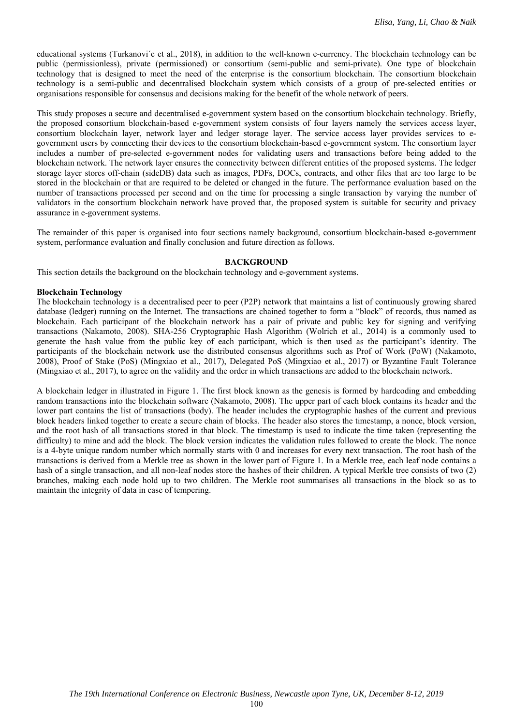educational systems (Turkanovi´c et al., 2018), in addition to the well-known e-currency. The blockchain technology can be public (permissionless), private (permissioned) or consortium (semi-public and semi-private). One type of blockchain technology that is designed to meet the need of the enterprise is the consortium blockchain. The consortium blockchain technology is a semi-public and decentralised blockchain system which consists of a group of pre-selected entities or organisations responsible for consensus and decisions making for the benefit of the whole network of peers.

This study proposes a secure and decentralised e-government system based on the consortium blockchain technology. Briefly, the proposed consortium blockchain-based e-government system consists of four layers namely the services access layer, consortium blockchain layer, network layer and ledger storage layer. The service access layer provides services to egovernment users by connecting their devices to the consortium blockchain-based e-government system. The consortium layer includes a number of pre-selected e-government nodes for validating users and transactions before being added to the blockchain network. The network layer ensures the connectivity between different entities of the proposed systems. The ledger storage layer stores off-chain (sideDB) data such as images, PDFs, DOCs, contracts, and other files that are too large to be stored in the blockchain or that are required to be deleted or changed in the future. The performance evaluation based on the number of transactions processed per second and on the time for processing a single transaction by varying the number of validators in the consortium blockchain network have proved that, the proposed system is suitable for security and privacy assurance in e-government systems.

The remainder of this paper is organised into four sections namely background, consortium blockchain-based e-government system, performance evaluation and finally conclusion and future direction as follows.

# **BACKGROUND**

This section details the background on the blockchain technology and e-government systems.

### **Blockchain Technology**

The blockchain technology is a decentralised peer to peer (P2P) network that maintains a list of continuously growing shared database (ledger) running on the Internet. The transactions are chained together to form a "block" of records, thus named as blockchain. Each participant of the blockchain network has a pair of private and public key for signing and verifying transactions (Nakamoto, 2008). SHA-256 Cryptographic Hash Algorithm (Wolrich et al., 2014) is a commonly used to generate the hash value from the public key of each participant, which is then used as the participant's identity. The participants of the blockchain network use the distributed consensus algorithms such as Prof of Work (PoW) (Nakamoto, 2008), Proof of Stake (PoS) (Mingxiao et al., 2017), Delegated PoS (Mingxiao et al., 2017) or Byzantine Fault Tolerance (Mingxiao et al., 2017), to agree on the validity and the order in which transactions are added to the blockchain network.

A blockchain ledger in illustrated in Figure 1. The first block known as the genesis is formed by hardcoding and embedding random transactions into the blockchain software (Nakamoto, 2008). The upper part of each block contains its header and the lower part contains the list of transactions (body). The header includes the cryptographic hashes of the current and previous block headers linked together to create a secure chain of blocks. The header also stores the timestamp, a nonce, block version, and the root hash of all transactions stored in that block. The timestamp is used to indicate the time taken (representing the difficulty) to mine and add the block. The block version indicates the validation rules followed to create the block. The nonce is a 4-byte unique random number which normally starts with 0 and increases for every next transaction. The root hash of the transactions is derived from a Merkle tree as shown in the lower part of Figure 1. In a Merkle tree, each leaf node contains a hash of a single transaction, and all non-leaf nodes store the hashes of their children. A typical Merkle tree consists of two (2) branches, making each node hold up to two children. The Merkle root summarises all transactions in the block so as to maintain the integrity of data in case of tempering.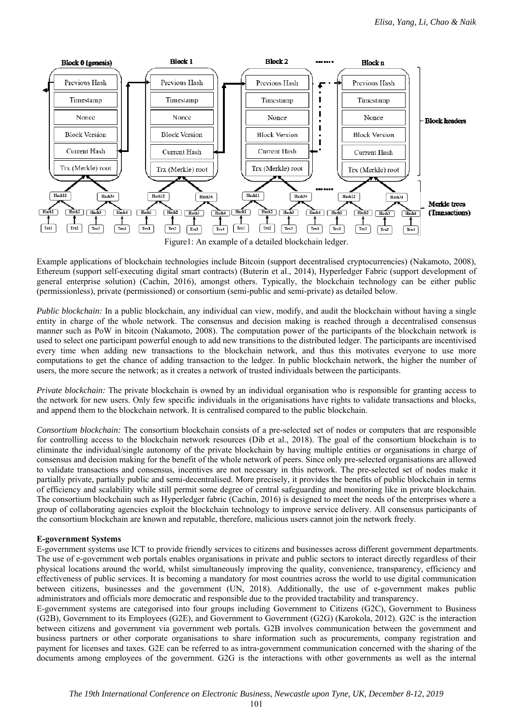

Figure1: An example of a detailed blockchain ledger.

Example applications of blockchain technologies include Bitcoin (support decentralised cryptocurrencies) (Nakamoto, 2008), Ethereum (support self-executing digital smart contracts) (Buterin et al., 2014), Hyperledger Fabric (support development of general enterprise solution) (Cachin, 2016), amongst others. Typically, the blockchain technology can be either public (permissionless), private (permissioned) or consortium (semi-public and semi-private) as detailed below.

*Public blockchain:* In a public blockchain, any individual can view, modify, and audit the blockchain without having a single entity in charge of the whole network. The consensus and decision making is reached through a decentralised consensus manner such as PoW in bitcoin (Nakamoto, 2008). The computation power of the participants of the blockchain network is used to select one participant powerful enough to add new transitions to the distributed ledger. The participants are incentivised every time when adding new transactions to the blockchain network, and thus this motivates everyone to use more computations to get the chance of adding transaction to the ledger. In public blockchain network, the higher the number of users, the more secure the network; as it creates a network of trusted individuals between the participants.

*Private blockchain:* The private blockchain is owned by an individual organisation who is responsible for granting access to the network for new users. Only few specific individuals in the origanisations have rights to validate transactions and blocks, and append them to the blockchain network. It is centralised compared to the public blockchain.

*Consortium blockchain:* The consortium blockchain consists of a pre-selected set of nodes or computers that are responsible for controlling access to the blockchain network resources (Dib et al., 2018). The goal of the consortium blockchain is to eliminate the individual/single autonomy of the private blockchain by having multiple entities or organisations in charge of consensus and decision making for the benefit of the whole network of peers. Since only pre-selected organisations are allowed to validate transactions and consensus, incentives are not necessary in this network. The pre-selected set of nodes make it partially private, partially public and semi-decentralised. More precisely, it provides the benefits of public blockchain in terms of efficiency and scalability while still permit some degree of central safeguarding and monitoring like in private blockchain. The consortium blockchain such as Hyperledger fabric (Cachin, 2016) is designed to meet the needs of the enterprises where a group of collaborating agencies exploit the blockchain technology to improve service delivery. All consensus participants of the consortium blockchain are known and reputable, therefore, malicious users cannot join the network freely.

# **E-government Systems**

E-government systems use ICT to provide friendly services to citizens and businesses across different government departments. The use of e-government web portals enables organisations in private and public sectors to interact directly regardless of their physical locations around the world, whilst simultaneously improving the quality, convenience, transparency, efficiency and effectiveness of public services. It is becoming a mandatory for most countries across the world to use digital communication between citizens, businesses and the government (UN, 2018). Additionally, the use of e-government makes public administrators and officials more democratic and responsible due to the provided tractability and transparency.

E-government systems are categorised into four groups including Government to Citizens (G2C), Government to Business (G2B), Government to its Employees (G2E), and Government to Government (G2G) (Karokola, 2012). G2C is the interaction between citizens and government via government web portals. G2B involves communication between the government and business partners or other corporate organisations to share information such as procurements, company registration and payment for licenses and taxes. G2E can be referred to as intra-government communication concerned with the sharing of the documents among employees of the government. G2G is the interactions with other governments as well as the internal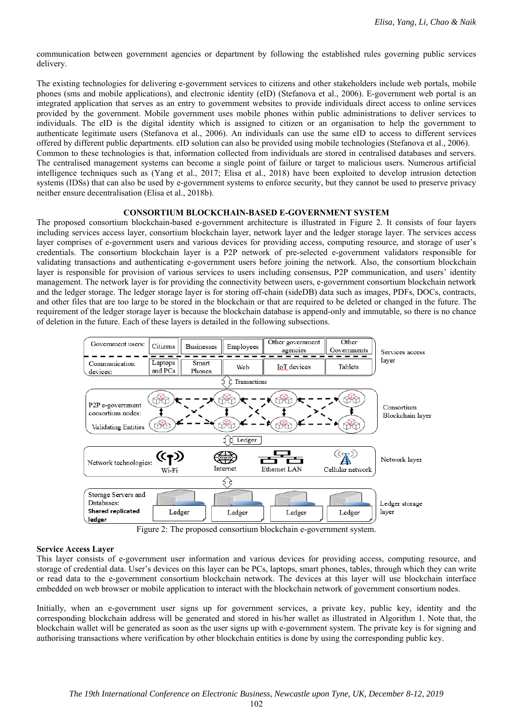communication between government agencies or department by following the established rules governing public services delivery.

The existing technologies for delivering e-government services to citizens and other stakeholders include web portals, mobile phones (sms and mobile applications), and electronic identity (eID) (Stefanova et al., 2006). E-government web portal is an integrated application that serves as an entry to government websites to provide individuals direct access to online services provided by the government. Mobile government uses mobile phones within public administrations to deliver services to individuals. The eID is the digital identity which is assigned to citizen or an organisation to help the government to authenticate legitimate users (Stefanova et al., 2006). An individuals can use the same eID to access to different services offered by different public departments. eID solution can also be provided using mobile technologies (Stefanova et al., 2006). Common to these technologies is that, information collected from individuals are stored in centralised databases and servers. The centralised management systems can become a single point of failure or target to malicious users. Numerous artificial intelligence techniques such as (Yang et al., 2017; Elisa et al., 2018) have been exploited to develop intrusion detection systems (IDSs) that can also be used by e-government systems to enforce security, but they cannot be used to preserve privacy neither ensure decentralisation (Elisa et al., 2018b).

### **CONSORTIUM BLOCKCHAIN-BASED E-GOVERNMENT SYSTEM**

The proposed consortium blockchain-based e-government architecture is illustrated in Figure 2. It consists of four layers including services access layer, consortium blockchain layer, network layer and the ledger storage layer. The services access layer comprises of e-government users and various devices for providing access, computing resource, and storage of user's credentials. The consortium blockchain layer is a P2P network of pre-selected e-government validators responsible for validating transactions and authenticating e-government users before joining the network. Also, the consortium blockchain layer is responsible for provision of various services to users including consensus, P2P communication, and users' identity management. The network layer is for providing the connectivity between users, e-government consortium blockchain network and the ledger storage. The ledger storage layer is for storing off-chain (sideDB) data such as images, PDFs, DOCs, contracts, and other files that are too large to be stored in the blockchain or that are required to be deleted or changed in the future. The requirement of the ledger storage layer is because the blockchain database is append-only and immutable, so there is no chance of deletion in the future. Each of these layers is detailed in the following subsections.



Figure 2: The proposed consortium blockchain e-government system.

### **Service Access Layer**

This layer consists of e-government user information and various devices for providing access, computing resource, and storage of credential data. User's devices on this layer can be PCs, laptops, smart phones, tables, through which they can write or read data to the e-government consortium blockchain network. The devices at this layer will use blockchain interface embedded on web browser or mobile application to interact with the blockchain network of government consortium nodes.

Initially, when an e-government user signs up for government services, a private key, public key, identity and the corresponding blockchain address will be generated and stored in his/her wallet as illustrated in Algorithm 1. Note that, the blockchain wallet will be generated as soon as the user signs up with e-government system. The private key is for signing and authorising transactions where verification by other blockchain entities is done by using the corresponding public key.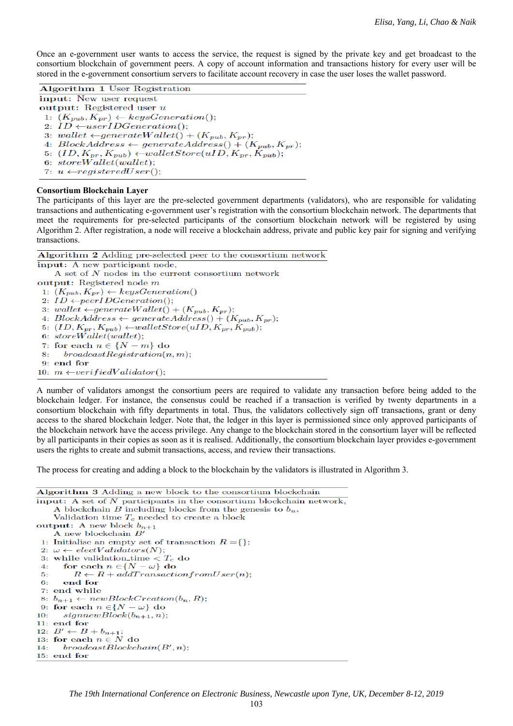Once an e-government user wants to access the service, the request is signed by the private key and get broadcast to the consortium blockchain of government peers. A copy of account information and transactions history for every user will be stored in the e-government consortium servers to facilitate account recovery in case the user loses the wallet password.

Algorithm 1 User Registration input: New user request output: Registered user  $u$ 1:  $(K_{pub}, K_{pr}) \leftarrow keysGeneration();$ 2:  $ID \leftarrow userIDGeneration();$ 3: wallet  $\leftarrow$  generateWallet() +  $(K_{pub}, K_{pr})$ ; 4: BlockAddress  $\leftarrow$  generateAddress() +  $(K_{pub}, K_{pr})$ ; 5:  $(ID, K_{pr}, K_{pub}) \leftarrow \text{walketStore}(uID, K_{pr}, K_{pub});$ 6:  $storeWallet(wallet);$ 7:  $u \leftarrow registeredUser();$ 

#### **Consortium Blockchain Layer**

The participants of this layer are the pre-selected government departments (validators), who are responsible for validating transactions and authenticating e-government user's registration with the consortium blockchain network. The departments that meet the requirements for pre-selected participants of the consortium blockchain network will be registered by using Algorithm 2. After registration, a node will receive a blockchain address, private and public key pair for signing and verifying transactions.

Algorithm 2 Adding pre-selected peer to the consortium network

input: A new participant node, A set of  $N$  nodes in the current consortium network output: Registered node  $m$ 1:  $(K_{pub}, K_{pr}) \leftarrow keysGeneration()$ 2:  $ID \leftarrow peerIDGeneration();$ 3: wallet  $\leftarrow$  generate Wallet() +  $(K_{pub}, K_{pr});$ 4:  $BlockAddress \leftarrow generateAddress() + (K_{pub}, K_{pr});$ 5:  $(ID, K_{pr}, K_{pub}) \leftarrow \text{walketStore}(uID, K_{pr}, K_{pub});$ 6:  $storeWallet(wallet);$ 7: for each  $n \in \{N-m\}$  do  $broadcastRegion(n, m);$  $8:$ 9: end for 10:  $m \leftarrow verifiedValidator();$ 

A number of validators amongst the consortium peers are required to validate any transaction before being added to the blockchain ledger. For instance, the consensus could be reached if a transaction is verified by twenty departments in a consortium blockchain with fifty departments in total. Thus, the validators collectively sign off transactions, grant or deny access to the shared blockchain ledger. Note that, the ledger in this layer is permissioned since only approved participants of the blockchain network have the access privilege. Any change to the blockchain stored in the consortium layer will be reflected by all participants in their copies as soon as it is realised. Additionally, the consortium blockchain layer provides e-government users the rights to create and submit transactions, access, and review their transactions.

The process for creating and adding a block to the blockchain by the validators is illustrated in Algorithm 3.

```
Algorithm 3 Adding a new block to the consortium blockchain
input: A set of N participants in the consortium blockchain network,
     A blockchain B including blocks from the genesis to b_n,
    Validation time T_c needed to create a block
output: A new block b_{n+1}A new blockchain B^\prime1: Initialise an empty set of transaction R = \{\};2: \omega \leftarrow electValidators(N);3: while validation time \langle T_c \rangle do
 4:for each n \in \{N - \omega\} do
         R \leftarrow R + \alpha \hat{d} dTransaction from User(n);
 Б.
       end for
 6:7: end while
 8: b_{n+1} \leftarrow newBlockC reaction(b_n, R);9: for each n \in \{N - \omega\} do
     signnewBlock(b_{n+1}, n);10:11: end for
12: B' \leftarrow B + b_{n+1};<br>13: for each n \in N do
      broadcastBlock chain(B', n);14:15: end for
```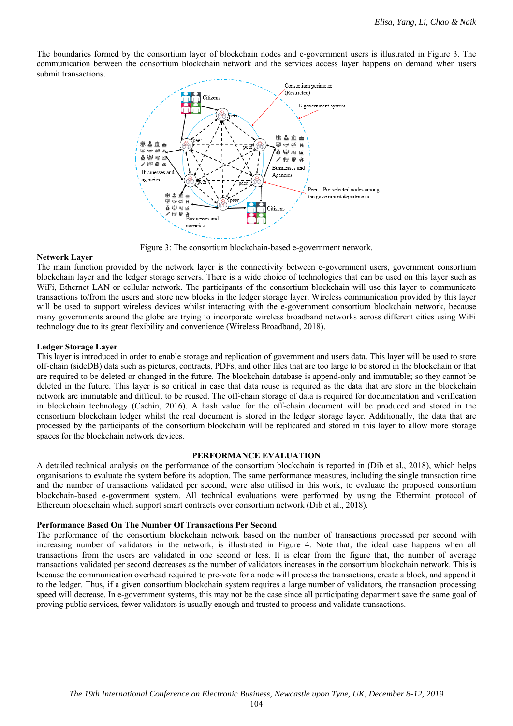The boundaries formed by the consortium layer of blockchain nodes and e-government users is illustrated in Figure 3. The communication between the consortium blockchain network and the services access layer happens on demand when users submit transactions.



Figure 3: The consortium blockchain-based e-government network.

### **Network Layer**

The main function provided by the network layer is the connectivity between e-government users, government consortium blockchain layer and the ledger storage servers. There is a wide choice of technologies that can be used on this layer such as WiFi, Ethernet LAN or cellular network. The participants of the consortium blockchain will use this layer to communicate transactions to/from the users and store new blocks in the ledger storage layer. Wireless communication provided by this layer will be used to support wireless devices whilst interacting with the e-government consortium blockchain network, because many governments around the globe are trying to incorporate wireless broadband networks across different cities using WiFi technology due to its great flexibility and convenience (Wireless Broadband, 2018).

# **Ledger Storage Layer**

This layer is introduced in order to enable storage and replication of government and users data. This layer will be used to store off-chain (sideDB) data such as pictures, contracts, PDFs, and other files that are too large to be stored in the blockchain or that are required to be deleted or changed in the future. The blockchain database is append-only and immutable; so they cannot be deleted in the future. This layer is so critical in case that data reuse is required as the data that are store in the blockchain network are immutable and difficult to be reused. The off-chain storage of data is required for documentation and verification in blockchain technology (Cachin, 2016). A hash value for the off-chain document will be produced and stored in the consortium blockchain ledger whilst the real document is stored in the ledger storage layer. Additionally, the data that are processed by the participants of the consortium blockchain will be replicated and stored in this layer to allow more storage spaces for the blockchain network devices.

### **PERFORMANCE EVALUATION**

A detailed technical analysis on the performance of the consortium blockchain is reported in (Dib et al., 2018), which helps organisations to evaluate the system before its adoption. The same performance measures, including the single transaction time and the number of transactions validated per second, were also utilised in this work, to evaluate the proposed consortium blockchain-based e-government system. All technical evaluations were performed by using the Ethermint protocol of Ethereum blockchain which support smart contracts over consortium network (Dib et al., 2018).

### **Performance Based On The Number Of Transactions Per Second**

The performance of the consortium blockchain network based on the number of transactions processed per second with increasing number of validators in the network, is illustrated in Figure 4. Note that, the ideal case happens when all transactions from the users are validated in one second or less. It is clear from the figure that, the number of average transactions validated per second decreases as the number of validators increases in the consortium blockchain network. This is because the communication overhead required to pre-vote for a node will process the transactions, create a block, and append it to the ledger. Thus, if a given consortium blockchain system requires a large number of validators, the transaction processing speed will decrease. In e-government systems, this may not be the case since all participating department save the same goal of proving public services, fewer validators is usually enough and trusted to process and validate transactions.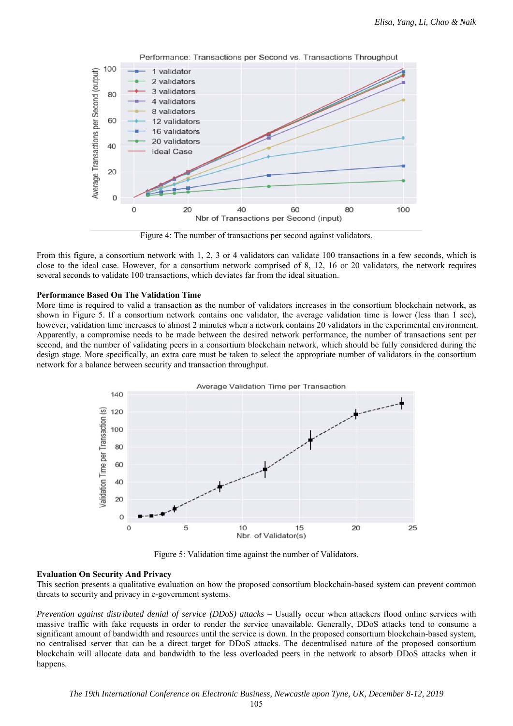

Performance: Transactions per Second vs. Transactions Throughput

Figure 4: The number of transactions per second against validators.

From this figure, a consortium network with 1, 2, 3 or 4 validators can validate 100 transactions in a few seconds, which is close to the ideal case. However, for a consortium network comprised of 8, 12, 16 or 20 validators, the network requires several seconds to validate 100 transactions, which deviates far from the ideal situation.

### **Performance Based On The Validation Time**

More time is required to valid a transaction as the number of validators increases in the consortium blockchain network, as shown in Figure 5. If a consortium network contains one validator, the average validation time is lower (less than 1 sec), however, validation time increases to almost 2 minutes when a network contains 20 validators in the experimental environment. Apparently, a compromise needs to be made between the desired network performance, the number of transactions sent per second, and the number of validating peers in a consortium blockchain network, which should be fully considered during the design stage. More specifically, an extra care must be taken to select the appropriate number of validators in the consortium network for a balance between security and transaction throughput.



Figure 5: Validation time against the number of Validators.

### **Evaluation On Security And Privacy**

This section presents a qualitative evaluation on how the proposed consortium blockchain-based system can prevent common threats to security and privacy in e-government systems.

*Prevention against distributed denial of service (DDoS) attacks* **–** Usually occur when attackers flood online services with massive traffic with fake requests in order to render the service unavailable. Generally, DDoS attacks tend to consume a significant amount of bandwidth and resources until the service is down. In the proposed consortium blockchain-based system, no centralised server that can be a direct target for DDoS attacks. The decentralised nature of the proposed consortium blockchain will allocate data and bandwidth to the less overloaded peers in the network to absorb DDoS attacks when it happens.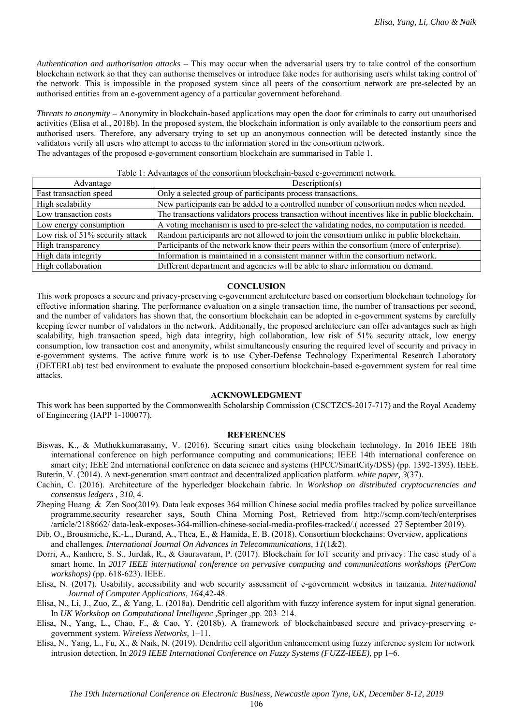*Authentication and authorisation attacks* **–** This may occur when the adversarial users try to take control of the consortium blockchain network so that they can authorise themselves or introduce fake nodes for authorising users whilst taking control of the network. This is impossible in the proposed system since all peers of the consortium network are pre-selected by an authorised entities from an e-government agency of a particular government beforehand.

*Threats to anonymity* **–** Anonymity in blockchain-based applications may open the door for criminals to carry out unauthorised activities (Elisa et al., 2018b). In the proposed system, the blockchain information is only available to the consortium peers and authorised users. Therefore, any adversary trying to set up an anonymous connection will be detected instantly since the validators verify all users who attempt to access to the information stored in the consortium network. The advantages of the proposed e-government consortium blockchain are summarised in Table 1.

### Table 1: Advantages of the consortium blockchain-based e-government network.

| Advantage                       | Description(s)                                                                                |
|---------------------------------|-----------------------------------------------------------------------------------------------|
| Fast transaction speed          | Only a selected group of participants process transactions.                                   |
| High scalability                | New participants can be added to a controlled number of consortium nodes when needed.         |
| Low transaction costs           | The transactions validators process transaction without incentives like in public blockchain. |
| Low energy consumption          | A voting mechanism is used to pre-select the validating nodes, no computation is needed.      |
| Low risk of 51% security attack | Random participants are not allowed to join the consortium unlike in public blockchain.       |
| High transparency               | Participants of the network know their peers within the consortium (more of enterprise).      |
| High data integrity             | Information is maintained in a consistent manner within the consortium network.               |
| High collaboration              | Different department and agencies will be able to share information on demand.                |

### **CONCLUSION**

This work proposes a secure and privacy-preserving e-government architecture based on consortium blockchain technology for effective information sharing. The performance evaluation on a single transaction time, the number of transactions per second, and the number of validators has shown that, the consortium blockchain can be adopted in e-government systems by carefully keeping fewer number of validators in the network. Additionally, the proposed architecture can offer advantages such as high scalability, high transaction speed, high data integrity, high collaboration, low risk of 51% security attack, low energy consumption, low transaction cost and anonymity, whilst simultaneously ensuring the required level of security and privacy in e-government systems. The active future work is to use Cyber-Defense Technology Experimental Research Laboratory (DETERLab) test bed environment to evaluate the proposed consortium blockchain-based e-government system for real time attacks.

#### **ACKNOWLEDGMENT**

This work has been supported by the Commonwealth Scholarship Commission (CSCTZCS-2017-717) and the Royal Academy of Engineering (IAPP 1-100077).

#### **REFERENCES**

- Biswas, K., & Muthukkumarasamy, V. (2016). Securing smart cities using blockchain technology. In 2016 IEEE 18th international conference on high performance computing and communications; IEEE 14th international conference on smart city; IEEE 2nd international conference on data science and systems (HPCC/SmartCity/DSS) (pp. 1392-1393). IEEE. Buterin, V. (2014). A next-generation smart contract and decentralized application platform. *white paper, 3*(37).
- Cachin, C. (2016). Architecture of the hyperledger blockchain fabric. In *Workshop on distributed cryptocurrencies and consensus ledgers , 310*, 4.
- Zheping Huang & Zen Soo(2019). Data leak exposes 364 million Chinese social media profiles tracked by police surveillance programme,security researcher says, South China Morning Post, Retrieved from http://scmp.com/tech/enterprises /article/2188662/ data-leak-exposes-364-million-chinese-social-media-profiles-tracked/.( accessed 27 September 2019).
- Dib, O., Brousmiche, K.-L., Durand, A., Thea, E., & Hamida, E. B. (2018). Consortium blockchains: Overview, applications and challenges*. International Journal On Advances in Telecommunications, 11*(1&2).
- Dorri, A., Kanhere, S. S., Jurdak, R., & Gauravaram, P. (2017). Blockchain for IoT security and privacy: The case study of a smart home. In *2017 IEEE international conference on pervasive computing and communications workshops (PerCom workshops)* (pp. 618-623). IEEE.
- Elisa, N. (2017). Usability, accessibility and web security assessment of e-government websites in tanzania. *International Journal of Computer Applications, 164*,42-48.
- Elisa, N., Li, J., Zuo, Z., & Yang, L. (2018a). Dendritic cell algorithm with fuzzy inference system for input signal generation. In *UK Workshop on Computational Intelligenc ,*Springer *,*pp. 203–214.
- Elisa, N., Yang, L., Chao, F., & Cao, Y. (2018b). A framework of blockchainbased secure and privacy-preserving egovernment system. *Wireless Networks,* 1–11.
- Elisa, N., Yang, L., Fu, X., & Naik, N. (2019). Dendritic cell algorithm enhancement using fuzzy inference system for network intrusion detection. In *2019 IEEE International Conference on Fuzzy Systems (FUZZ-IEEE)*, pp 1–6.